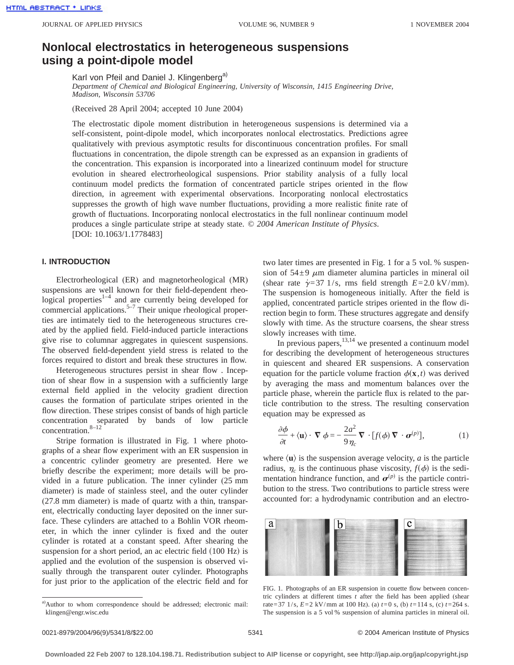# **Nonlocal electrostatics in heterogeneous suspensions using a point-dipole model**

Karl von Pfeil and Daniel J. Klingenberg<sup>a)</sup>

*Department of Chemical and Biological Engineering, University of Wisconsin, 1415 Engineering Drive, Madison, Wisconsin 53706*

(Received 28 April 2004; accepted 10 June 2004)

The electrostatic dipole moment distribution in heterogeneous suspensions is determined via a self-consistent, point-dipole model, which incorporates nonlocal electrostatics. Predictions agree qualitatively with previous asymptotic results for discontinuous concentration profiles. For small fluctuations in concentration, the dipole strength can be expressed as an expansion in gradients of the concentration. This expansion is incorporated into a linearized continuum model for structure evolution in sheared electrorheological suspensions. Prior stability analysis of a fully local continuum model predicts the formation of concentrated particle stripes oriented in the flow direction, in agreement with experimental observations. Incorporating nonlocal electrostatics suppresses the growth of high wave number fluctuations, providing a more realistic finite rate of growth of fluctuations. Incorporating nonlocal electrostatics in the full nonlinear continuum model produces a single particulate stripe at steady state. © *2004 American Institute of Physics*. [DOI: 10.1063/1.1778483]

### **I. INTRODUCTION**

Electrorheological (ER) and magnetorheological (MR) suspensions are well known for their field-dependent rheological properties $1-4$  and are currently being developed for commercial applications.<sup>5–7</sup> Their unique rheological properties are intimately tied to the heterogeneous structures created by the applied field. Field-induced particle interactions give rise to columnar aggregates in quiescent suspensions. The observed field-dependent yield stress is related to the forces required to distort and break these structures in flow.

Heterogeneous structures persist in shear flow . Inception of shear flow in a suspension with a sufficiently large external field applied in the velocity gradient direction causes the formation of particulate stripes oriented in the flow direction. These stripes consist of bands of high particle concentration separated by bands of low particle concentration. $8-12$ 

Stripe formation is illustrated in Fig. 1 where photographs of a shear flow experiment with an ER suspension in a concentric cylinder geometry are presented. Here we briefly describe the experiment; more details will be provided in a future publication. The inner cylinder (25 mm diameter) is made of stainless steel, and the outer cylinder (27.8 mm diameter) is made of quartz with a thin, transparent, electrically conducting layer deposited on the inner surface. These cylinders are attached to a Bohlin VOR rheometer, in which the inner cylinder is fixed and the outer cylinder is rotated at a constant speed. After shearing the suspension for a short period, an ac electric field  $(100 \text{ Hz})$  is applied and the evolution of the suspension is observed visually through the transparent outer cylinder. Photographs for just prior to the application of the electric field and for two later times are presented in Fig. 1 for a 5 vol. % suspension of  $54\pm9$   $\mu$ m diameter alumina particles in mineral oil (shear rate  $\dot{\gamma}$ =37 1/s, rms field strength  $E$ =2.0 kV/mm). The suspension is homogeneous initially. After the field is applied, concentrated particle stripes oriented in the flow direction begin to form. These structures aggregate and densify slowly with time. As the structure coarsens, the shear stress slowly increases with time.

In previous papers,  $13,14$  we presented a continuum model for describing the development of heterogeneous structures in quiescent and sheared ER suspensions. A conservation equation for the particle volume fraction  $\phi(\mathbf{x},t)$  was derived by averaging the mass and momentum balances over the particle phase, wherein the particle flux is related to the particle contribution to the stress. The resulting conservation equation may be expressed as

$$
\frac{\partial \phi}{\partial t} + \langle \mathbf{u} \rangle \cdot \nabla \phi = -\frac{2a^2}{9\eta_c} \nabla \cdot [f(\phi) \nabla \cdot \boldsymbol{\sigma}^{(p)}],
$$
 (1)

where  $\langle \mathbf{u} \rangle$  is the suspension average velocity, *a* is the particle radius,  $\eta_c$  is the continuous phase viscosity,  $f(\phi)$  is the sedimentation hindrance function, and  $\boldsymbol{\sigma}^{(p)}$  is the particle contribution to the stress. Two contributions to particle stress were accounted for: a hydrodynamic contribution and an electro-



FIG. 1. Photographs of an ER suspension in couette flow between concentric cylinders at different times *t* after the field has been applied (shear rate=37 1/s, *E*=2 kV/mm at 100 Hz). (a) *t*=0 s, (b) *t*=114 s, (c) *t*=264 s. The suspension is a 5 vol % suspension of alumina particles in mineral oil.

a)Author to whom correspondence should be addressed; electronic mail: klingen@engr.wisc.edu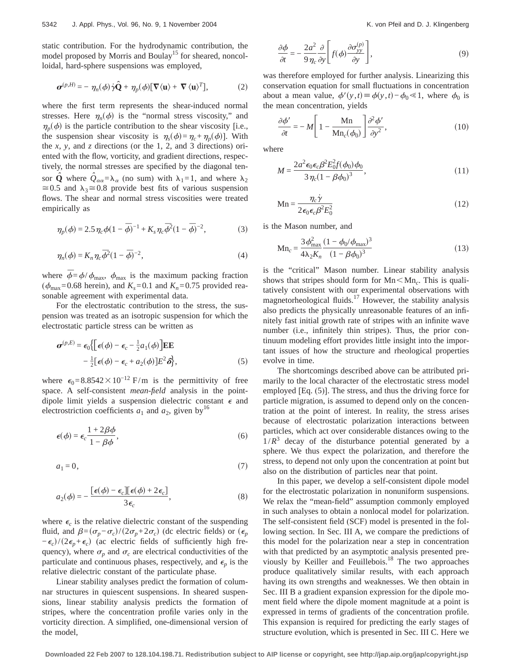static contribution. For the hydrodynamic contribution, the model proposed by Morris and Boulay<sup>15</sup> for sheared, noncolloidal, hard-sphere suspensions was employed,

$$
\boldsymbol{\sigma}^{(p,H)} = - \eta_n(\phi) \dot{\gamma} \hat{\mathbf{Q}} + \eta_p(\phi) [\nabla \langle \mathbf{u} \rangle + \nabla \langle \mathbf{u} \rangle^T], \tag{2}
$$

where the first term represents the shear-induced normal stresses. Here  $\eta_n(\phi)$  is the "normal stress viscosity," and  $\eta_p(\phi)$  is the particle contribution to the shear viscosity [i.e., the suspension shear viscosity is  $\eta_s(\phi) = \eta_c + \eta_p(\phi)$ . With the *x*, *y*, and *z* directions (or the 1, 2, and 3 directions) oriented with the flow, vorticity, and gradient directions, respectively, the normal stresses are specified by the diagonal tensor **Q**<sup>*⁄*</sup> where  $Q_{\alpha\alpha} = \lambda_{\alpha}$  (no sum) with  $\lambda_1 = 1$ , and where  $\lambda_2$  $\approx 0.5$  and  $\lambda_3 \approx 0.8$  provide best fits of various suspension flows. The shear and normal stress viscosities were treated empirically as

$$
\eta_p(\phi) = 2.5 \eta_c \phi (1 - \bar{\phi})^{-1} + K_s \eta_c \bar{\phi}^2 (1 - \bar{\phi})^{-2},
$$
 (3)

$$
\eta_n(\phi) = K_n \eta_c \overline{\phi}^2 (1 - \overline{\phi})^{-2},\tag{4}
$$

where  $\bar{\phi} = \phi / \phi_{\text{max}}$ ,  $\phi_{\text{max}}$  is the maximum packing fraction ( $\phi_{\text{max}}$ =0.68 herein), and  $K_s$ =0.1 and  $K_n$ =0.75 provided reasonable agreement with experimental data.

For the electrostatic contribution to the stress, the suspension was treated as an isotropic suspension for which the electrostatic particle stress can be written as

$$
\boldsymbol{\sigma}^{(p,E)} = \epsilon_0 \{ [\epsilon(\phi) - \epsilon_c - \frac{1}{2} a_1(\phi)] \mathbf{E} \mathbf{E}
$$

$$
- \frac{1}{2} [\epsilon(\phi) - \epsilon_c + a_2(\phi)] E^2 \delta \}, \tag{5}
$$

where  $\epsilon_0$ =8.8542×10<sup>-12</sup> F/m is the permittivity of free space. A self-consistent *mean-field* analysis in the pointdipole limit yields a suspension dielectric constant  $\epsilon$  and electrostriction coefficients  $a_1$  and  $a_2$ , given by<sup>16</sup>

$$
\epsilon(\phi) = \epsilon_c \frac{1 + 2\beta\phi}{1 - \beta\phi},\tag{6}
$$

$$
a_1 = 0,\t\t(7)
$$

$$
a_2(\phi) = -\frac{\left[\epsilon(\phi) - \epsilon_c\right]\left[\epsilon(\phi) + 2\epsilon_c\right]}{3\epsilon_c},\tag{8}
$$

where  $\epsilon_c$  is the relative dielectric constant of the suspending fluid, and  $\beta = (\sigma_p - \sigma_c)/(2\sigma_p + 2\sigma_c)$  (dc electric fields) or  $(\epsilon_p$  $-\epsilon_c$ )/(2 $\epsilon_p + \epsilon_c$ ) (ac electric fields of sufficiently high frequency), where  $\sigma_p$  and  $\sigma_c$  are electrical conductivities of the particulate and continuous phases, respectively, and  $\epsilon_n$  is the relative dielectric constant of the particulate phase.

Linear stability analyses predict the formation of columnar structures in quiescent suspensions. In sheared suspensions, linear stability analysis predicts the formation of stripes, where the concentration profile varies only in the vorticity direction. A simplified, one-dimensional version of the model,

$$
\frac{\partial \phi}{\partial t} = -\frac{2a^2}{9\eta_c} \frac{\partial}{\partial y} \left[ f(\phi) \frac{\partial \sigma_{yy}^{(p)}}{\partial y} \right],\tag{9}
$$

was therefore employed for further analysis. Linearizing this conservation equation for small fluctuations in concentration about a mean value,  $\phi'(y, t) \equiv \phi(y, t) - \phi_0 \ll 1$ , where  $\phi_0$  is the mean concentration, yields

$$
\frac{\partial \phi'}{\partial t} = -M \left[ 1 - \frac{\mathbf{M} \mathbf{n}}{\mathbf{M} \mathbf{n}_c(\phi_0)} \right] \frac{\partial^2 \phi'}{\partial y^2},\tag{10}
$$

where

$$
M = \frac{2a^2 \epsilon_0 \epsilon_c \beta^2 E_0^2 f(\phi_0) \phi_0}{3 \eta_c (1 - \beta \phi_0)^3},
$$
\n(11)

$$
Mn = \frac{\eta_c \dot{\gamma}}{2\epsilon_0 \epsilon_c \beta^2 E_0^2}
$$
 (12)

is the Mason number, and

$$
Mn_c = \frac{3\phi_{\text{max}}^2}{4\lambda_2 K_n} \frac{(1 - \phi_0/\phi_{\text{max}})^3}{(1 - \beta \phi_0)^3}
$$
(13)

is the "critical" Mason number. Linear stability analysis shows that stripes should form for  $Mn < Mn_c$ . This is qualitatively consistent with our experimental observations with magnetorheological fluids.<sup>17</sup> However, the stability analysis also predicts the physically unreasonable features of an infinitely fast initial growth rate of stripes with an infinite wave number (i.e., infinitely thin stripes). Thus, the prior continuum modeling effort provides little insight into the important issues of how the structure and rheological properties evolve in time.

The shortcomings described above can be attributed primarily to the local character of the electrostatic stress model employed [Eq. (5)]. The stress, and thus the driving force for particle migration, is assumed to depend only on the concentration at the point of interest. In reality, the stress arises because of electrostatic polarization interactions between particles, which act over considerable distances owing to the  $1/R<sup>3</sup>$  decay of the disturbance potential generated by a sphere. We thus expect the polarization, and therefore the stress, to depend not only upon the concentration at point but also on the distribution of particles near that point.

In this paper, we develop a self-consistent dipole model for the electrostatic polarization in nonuniform suspensions. We relax the "mean-field" assumption commonly employed in such analyses to obtain a nonlocal model for polarization. The self-consistent field (SCF) model is presented in the following section. In Sec. III A, we compare the predictions of this model for the polarization near a step in concentration with that predicted by an asymptotic analysis presented previously by Keiller and Feuillebois.<sup>18</sup> The two approaches produce qualitatively similar results, with each approach having its own strengths and weaknesses. We then obtain in Sec. III B a gradient expansion expression for the dipole moment field where the dipole moment magnitude at a point is expressed in terms of gradients of the concentration profile. This expansion is required for predicting the early stages of structure evolution, which is presented in Sec. III C. Here we

**Downloaded 22 Feb 2007 to 128.104.198.71. Redistribution subject to AIP license or copyright, see http://jap.aip.org/jap/copyright.jsp**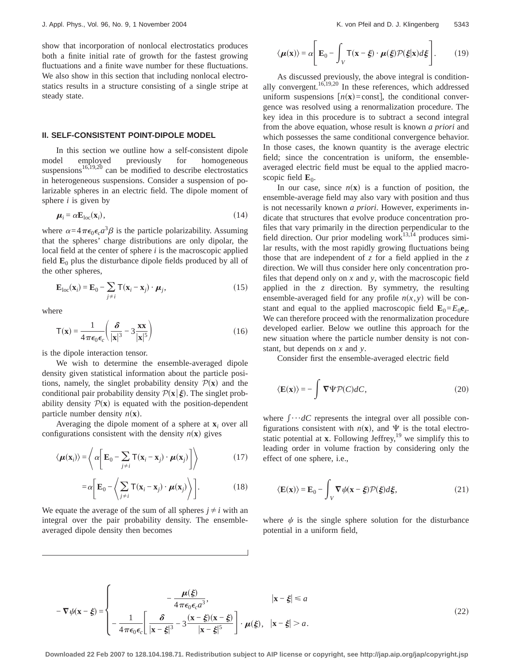show that incorporation of nonlocal electrostatics produces both a finite initial rate of growth for the fastest growing fluctuations and a finite wave number for these fluctuations. We also show in this section that including nonlocal electrostatics results in a structure consisting of a single stripe at steady state.

### **II. SELF-CONSISTENT POINT-DIPOLE MODEL**

In this section we outline how a self-consistent dipole model employed previously for homogeneous suspensions $16,19,20$  can be modified to describe electrostatics in heterogeneous suspensions. Consider a suspension of polarizable spheres in an electric field. The dipole moment of sphere *i* is given by

$$
\boldsymbol{\mu}_i = \alpha \mathbf{E}_{\text{loc}}(\mathbf{x}_i),\tag{14}
$$

where  $\alpha = 4\pi\epsilon_0 \epsilon_c a^3 \beta$  is the particle polarizability. Assuming that the spheres' charge distributions are only dipolar, the local field at the center of sphere *i* is the macroscopic applied field  $\mathbf{E}_0$  plus the disturbance dipole fields produced by all of the other spheres,

$$
\mathbf{E}_{\text{loc}}(\mathbf{x}_i) = \mathbf{E}_0 - \sum_{j \neq i} \mathsf{T}(\mathbf{x}_i - \mathbf{x}_j) \cdot \boldsymbol{\mu}_j,
$$
(15)

where

$$
\mathbf{T}(\mathbf{x}) = \frac{1}{4\pi\epsilon_0 \epsilon_c} \left( \frac{\delta}{|\mathbf{x}|^3} - 3\frac{\mathbf{x}\mathbf{x}}{|\mathbf{x}|^5} \right)
$$
(16)

is the dipole interaction tensor.

We wish to determine the ensemble-averaged dipole density given statistical information about the particle positions, namely, the singlet probability density  $P(x)$  and the conditional pair probability density  $\mathcal{P}(\mathbf{x}|\boldsymbol{\xi})$ . The singlet probability density  $P(x)$  is equated with the position-dependent particle number density  $n(\mathbf{x})$ .

Averaging the dipole moment of a sphere at  $\mathbf{x}_i$  over all configurations consistent with the density  $n(\mathbf{x})$  gives

$$
\langle \boldsymbol{\mu}(\mathbf{x}_i) \rangle = \left\langle \alpha \bigg[ \mathbf{E}_0 - \sum_{j \neq i} \mathsf{T}(\mathbf{x}_i - \mathbf{x}_j) \cdot \boldsymbol{\mu}(\mathbf{x}_j) \bigg] \right\rangle \tag{17}
$$

$$
= \alpha \bigg[ \mathbf{E}_0 - \bigg\langle \sum_{j \neq i} \mathsf{T}(\mathbf{x}_i - \mathbf{x}_j) \cdot \boldsymbol{\mu}(\mathbf{x}_j) \bigg\rangle \bigg]. \tag{18}
$$

We equate the average of the sum of all spheres  $j \neq i$  with an integral over the pair probability density. The ensembleaveraged dipole density then becomes

$$
\langle \boldsymbol{\mu}(\mathbf{x}) \rangle = \alpha \Bigg[ \mathbf{E}_0 - \int_V \mathbf{T}(\mathbf{x} - \boldsymbol{\xi}) \cdot \boldsymbol{\mu}(\boldsymbol{\xi}) \mathcal{P}(\boldsymbol{\xi}|\mathbf{x}) d\boldsymbol{\xi} \Bigg].
$$
 (19)

As discussed previously, the above integral is conditionally convergent.<sup>16,19,20</sup> In these references, which addressed uniform suspensions  $[n(x)=\text{const}]$ , the conditional convergence was resolved using a renormalization procedure. The key idea in this procedure is to subtract a second integral from the above equation, whose result is known *a priori* and which possesses the same conditional convergence behavior. In those cases, the known quantity is the average electric field; since the concentration is uniform, the ensembleaveraged electric field must be equal to the applied macroscopic field  $\mathbf{E}_0$ .

In our case, since  $n(x)$  is a function of position, the ensemble-average field may also vary with position and thus is not necessarily known *a priori*. However, experiments indicate that structures that evolve produce concentration profiles that vary primarily in the direction perpendicular to the field direction. Our prior modeling work<sup>13,14</sup> produces similar results, with the most rapidly growing fluctuations being those that are independent of *z* for a field applied in the *z* direction. We will thus consider here only concentration profiles that depend only on *x* and *y*, with the macroscopic field applied in the *z* direction. By symmetry, the resulting ensemble-averaged field for any profile  $n(x, y)$  will be constant and equal to the applied macroscopic field  $\mathbf{E}_0 = E_0 \mathbf{e}_z$ . We can therefore proceed with the renormalization procedure developed earlier. Below we outline this approach for the new situation where the particle number density is not constant, but depends on *x* and *y*.

Consider first the ensemble-averaged electric field

$$
\langle \mathbf{E}(\mathbf{x}) \rangle = -\int \nabla \Psi \mathcal{P}(C) dC,\tag{20}
$$

where  $\int \cdots dC$  represents the integral over all possible configurations consistent with  $n(x)$ , and  $\Psi$  is the total electrostatic potential at **x**. Following Jeffrey,<sup>19</sup> we simplify this to leading order in volume fraction by considering only the effect of one sphere, i.e.,

$$
\langle \mathbf{E}(\mathbf{x}) \rangle = \mathbf{E}_0 - \int_V \nabla \psi(\mathbf{x} - \xi) \mathcal{P}(\xi) d\xi,
$$
 (21)

where  $\psi$  is the single sphere solution for the disturbance potential in a uniform field,

$$
-\nabla\psi(\mathbf{x}-\xi) = \begin{cases}\n-\frac{\mu(\xi)}{4\pi\epsilon_0\epsilon_c a^3}, & |\mathbf{x}-\xi| \le a \\
-\frac{1}{4\pi\epsilon_0\epsilon_c} \left[\frac{\delta}{|\mathbf{x}-\xi|^3} - 3\frac{(\mathbf{x}-\xi)(\mathbf{x}-\xi)}{|\mathbf{x}-\xi|^5}\right] \cdot \mu(\xi), & |\mathbf{x}-\xi| > a.\n\end{cases}
$$
\n(22)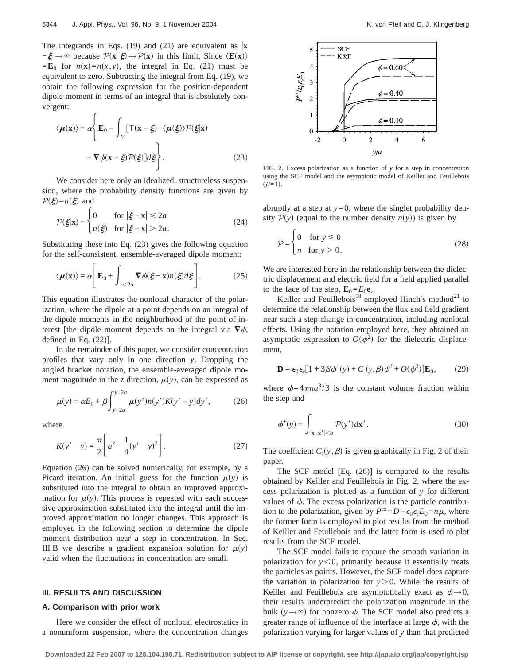The integrands in Eqs. (19) and (21) are equivalent as  $|\mathbf{x}|$  $-\xi \rightarrow \infty$  because  $\mathcal{P}(\mathbf{x}|\xi) \rightarrow \mathcal{P}(\mathbf{x})$  in this limit. Since  $\langle \mathbf{E}(\mathbf{x}) \rangle$  $=\mathbf{E}_0$  for  $n(\mathbf{x})=n(x, y)$ , the integral in Eq. (21) must be equivalent to zero. Subtracting the integral from Eq. (19), we obtain the following expression for the position-dependent dipole moment in terms of an integral that is absolutely convergent:

$$
\langle \mu(\mathbf{x}) \rangle = \alpha \Bigg\{ \mathbf{E}_0 - \int_V \left[ \mathbf{T}(\mathbf{x} - \xi) \cdot \langle \mu(\xi) \rangle \mathcal{P}(\xi | \mathbf{x}) \right. \\ - \nabla \psi(\mathbf{x} - \xi) \mathcal{P}(\xi) \Bigg] d\xi \Bigg\}. \tag{23}
$$

We consider here only an idealized, structureless suspension, where the probability density functions are given by  $P(\xi)=n(\xi)$  and

$$
\mathcal{P}(\xi|\mathbf{x}) = \begin{cases} 0 & \text{for } |\xi - \mathbf{x}| \le 2a \\ n(\xi) & \text{for } |\xi - \mathbf{x}| > 2a. \end{cases} \tag{24}
$$

Substituting these into Eq. (23) gives the following equation for the self-consistent, ensemble-averaged dipole moment:

$$
\langle \boldsymbol{\mu}(\mathbf{x}) \rangle = \alpha \Bigg[ \mathbf{E}_0 + \int_{r < 2a} \nabla \psi(\boldsymbol{\xi} - \mathbf{x}) n(\boldsymbol{\xi}) d\boldsymbol{\xi} \Bigg].
$$
 (25)

This equation illustrates the nonlocal character of the polarization, where the dipole at a point depends on an integral of the dipole moments in the neighborhood of the point of interest [the dipole moment depends on the integral via  $\nabla \psi$ , defined in Eq. (22)].

In the remainder of this paper, we consider concentration profiles that vary only in one direction *y*. Dropping the angled bracket notation, the ensemble-averaged dipole moment magnitude in the *z* direction,  $\mu(y)$ , can be expressed as

$$
\mu(y) = \alpha E_0 + \beta \int_{y-2a}^{y+2a} \mu(y') n(y') K(y'-y) dy',
$$
 (26)

where

$$
K(y'-y) = \frac{\pi}{2} \left[ a^2 - \frac{1}{4} (y'-y)^2 \right].
$$
 (27)

Equation (26) can be solved numerically, for example, by a Picard iteration. An initial guess for the function  $\mu(y)$  is substituted into the integral to obtain an improved approximation for  $\mu(y)$ . This process is repeated with each successive approximation substituted into the integral until the improved approximation no longer changes. This approach is employed in the following section to determine the dipole moment distribution near a step in concentration. In Sec. III B we describe a gradient expansion solution for  $\mu(y)$ valid when the fluctuations in concentration are small.

### **III. RESULTS AND DISCUSSION**

#### **A. Comparison with prior work**

Here we consider the effect of nonlocal electrostatics in a nonuniform suspension, where the concentration changes



FIG. 2. Excess polarization as a function of *y* for a step in concentration using the SCF model and the asymptotic model of Keiller and Feuillebois  $(\beta=1)$ .

abruptly at a step at  $y=0$ , where the singlet probability density  $P(y)$  (equal to the number density  $n(y)$ ) is given by

$$
\mathcal{P} = \begin{cases} 0 & \text{for } y \le 0 \\ n & \text{for } y > 0. \end{cases} \tag{28}
$$

We are interested here in the relationship between the dielectric displacement and electric field for a field applied parallel to the face of the step,  $\mathbf{E}_0 = E_0 \mathbf{e}_z$ .

Keiller and Feuillebois<sup>18</sup> employed Hinch's method<sup>21</sup> to determine the relationship between the flux and field gradient near such a step change in concentration, including nonlocal effects. Using the notation employed here, they obtained an asymptotic expression to  $O(\phi^2)$  for the dielectric displacement,

$$
\mathbf{D} = \boldsymbol{\epsilon}_0 \boldsymbol{\epsilon}_c [1 + 3\beta \phi^+(y) + C_{\parallel}(y, \beta) \phi^2 + O(\phi^3)] \mathbf{E}_0, \quad (29)
$$

where  $\phi=4\pi na^3/3$  is the constant volume fraction within the step and

$$
\phi^+(y) = \int_{|\mathbf{x} - \mathbf{x}'| < a} \mathcal{P}(y') d\mathbf{x}'.\tag{30}
$$

The coefficient  $C_{\parallel}(y, \beta)$  is given graphically in Fig. 2 of their paper.

The SCF model [Eq. (26)] is compared to the results obtained by Keiller and Feuillebois in Fig. 2, where the excess polarization is plotted as a function of *y* for different values of  $\phi$ . The excess polarization is the particle contribution to the polarization, given by  $P^{ex} = D - \epsilon_0 \epsilon_c E_0 = n\mu$ , where the former form is employed to plot results from the method of Keiller and Feuillebois and the latter form is used to plot results from the SCF model.

The SCF model fails to capture the smooth variation in polarization for  $y < 0$ , primarily because it essentially treats the particles as points. However, the SCF model does capture the variation in polarization for  $y > 0$ . While the results of Keiller and Feuillebois are asymptotically exact as  $\phi \rightarrow 0$ , their results underpredict the polarization magnitude in the bulk  $(y \rightarrow \infty)$  for nonzero  $\phi$ . The SCF model also predicts a greater range of influence of the interface at large  $\phi$ , with the polarization varying for larger values of *y* than that predicted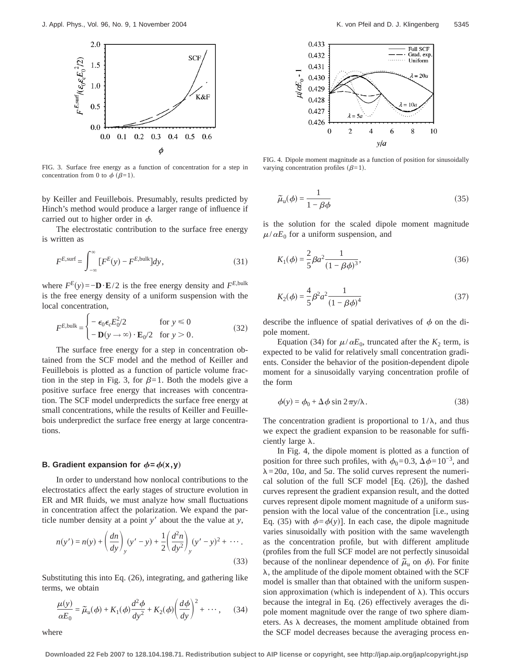

FIG. 3. Surface free energy as a function of concentration for a step in concentration from 0 to  $\phi$  ( $\beta=1$ ).

by Keiller and Feuillebois. Presumably, results predicted by Hinch's method would produce a larger range of influence if carried out to higher order in  $\phi$ .

The electrostatic contribution to the surface free energy is written as

$$
F^{E,\text{surf}} = \int_{-\infty}^{\infty} \left[ F^{E}(y) - F^{E,\text{bulk}} \right] dy,\tag{31}
$$

where  $F^E(y) = -D \cdot E/2$  is the free energy density and  $F^{E, bulk}$ is the free energy density of a uniform suspension with the local concentration,

$$
F^{E,\text{bulk}} = \begin{cases} -\epsilon_0 \epsilon_c E_0^2 / 2 & \text{for } y \le 0\\ -\mathbf{D}(y \to \infty) \cdot \mathbf{E}_0 / 2 & \text{for } y > 0. \end{cases}
$$
(32)

The surface free energy for a step in concentration obtained from the SCF model and the method of Keiller and Feuillebois is plotted as a function of particle volume fraction in the step in Fig. 3, for  $\beta=1$ . Both the models give a positive surface free energy that increases with concentration. The SCF model underpredicts the surface free energy at small concentrations, while the results of Keiller and Feuillebois underpredict the surface free energy at large concentrations.

### **B.** Gradient expansion for  $\phi = \phi(x, y)$

where

In order to understand how nonlocal contributions to the electrostatics affect the early stages of structure evolution in ER and MR fluids, we must analyze how small fluctuations in concentration affect the polarization. We expand the particle number density at a point  $y'$  about the the value at  $y$ ,

$$
n(y') = n(y) + \left(\frac{dn}{dy}\right)_y (y' - y) + \frac{1}{2} \left(\frac{d^2n}{dy^2}\right)_y (y' - y)^2 + \cdots
$$
\n(33)

Substituting this into Eq. (26), integrating, and gathering like terms, we obtain

$$
\frac{\mu(y)}{\alpha E_0} = \tilde{\mu}_u(\phi) + K_1(\phi)\frac{d^2\phi}{dy^2} + K_2(\phi)\left(\frac{d\phi}{dy}\right)^2 + \cdots, \quad (34)
$$



FIG. 4. Dipole moment magnitude as a function of position for sinusoidally varying concentration profiles  $(\beta=1)$ .

$$
\tilde{\mu}_u(\phi) = \frac{1}{1 - \beta \phi} \tag{35}
$$

is the solution for the scaled dipole moment magnitude  $\mu/\alpha E_0$  for a uniform suspension, and

$$
K_1(\phi) = \frac{2}{5} \beta a^2 \frac{1}{(1 - \beta \phi)^3},\tag{36}
$$

$$
K_2(\phi) = \frac{4}{5} \beta^2 a^2 \frac{1}{(1 - \beta \phi)^4}
$$
 (37)

describe the influence of spatial derivatives of  $\phi$  on the dipole moment.

Equation (34) for  $\mu/\alpha E_0$ , truncated after the  $K_2$  term, is expected to be valid for relatively small concentration gradients. Consider the behavior of the position-dependent dipole moment for a sinusoidally varying concentration profile of the form

$$
\phi(y) = \phi_0 + \Delta \phi \sin 2\pi y / \lambda. \tag{38}
$$

The concentration gradient is proportional to  $1/\lambda$ , and thus we expect the gradient expansion to be reasonable for sufficiently large  $\lambda$ .

In Fig. 4, the dipole moment is plotted as a function of position for three such profiles, with  $\phi_0=0.3$ ,  $\Delta\phi=10^{-3}$ , and  $\lambda = 20a$ , 10*a*, and 5*a*. The solid curves represent the numerical solution of the full SCF model [Eq. (26)], the dashed curves represent the gradient expansion result, and the dotted curves represent dipole moment magnitude of a uniform suspension with the local value of the concentration [i.e., using Eq. (35) with  $\phi = \phi(y)$ ]. In each case, the dipole magnitude varies sinusoidally with position with the same wavelength as the concentration profile, but with different amplitude (profiles from the full SCF model are not perfectly sinusoidal because of the nonlinear dependence of  $\tilde{\mu}_u$  on  $\phi$ ). For finite  $\lambda$ , the amplitude of the dipole moment obtained with the SCF model is smaller than that obtained with the uniform suspension approximation (which is independent of  $\lambda$ ). This occurs because the integral in Eq. (26) effectively averages the dipole moment magnitude over the range of two sphere diameters. As  $\lambda$  decreases, the moment amplitude obtained from the SCF model decreases because the averaging process en-

**Downloaded 22 Feb 2007 to 128.104.198.71. Redistribution subject to AIP license or copyright, see http://jap.aip.org/jap/copyright.jsp**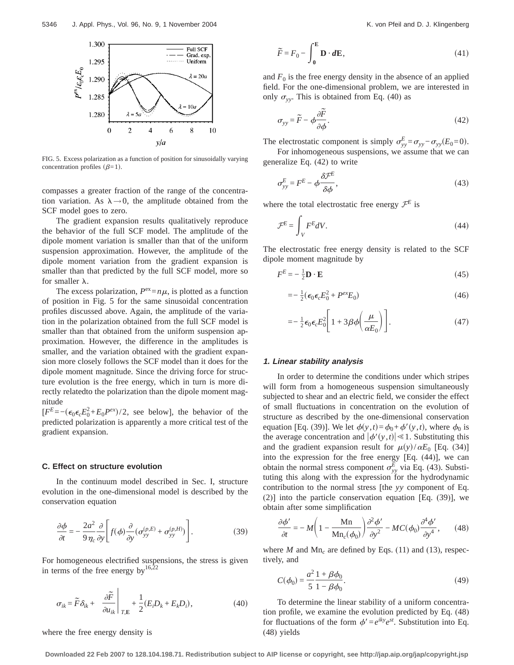

FIG. 5. Excess polarization as a function of position for sinusoidally varying concentration profiles  $(\beta=1)$ .

compasses a greater fraction of the range of the concentration variation. As  $\lambda \rightarrow 0$ , the amplitude obtained from the SCF model goes to zero.

The gradient expansion results qualitatively reproduce the behavior of the full SCF model. The amplitude of the dipole moment variation is smaller than that of the uniform suspension approximation. However, the amplitude of the dipole moment variation from the gradient expansion is smaller than that predicted by the full SCF model, more so for smaller  $\lambda$ .

The excess polarization,  $P^{ex} = n\mu$ , is plotted as a function of position in Fig. 5 for the same sinusoidal concentration profiles discussed above. Again, the amplitude of the variation in the polarization obtained from the full SCF model is smaller than that obtained from the uniform suspension approximation. However, the difference in the amplitudes is smaller, and the variation obtained with the gradient expansion more closely follows the SCF model than it does for the dipole moment magnitude. Since the driving force for structure evolution is the free energy, which in turn is more directly relatedto the polarization than the dipole moment magnitude

 $[F^{E} = -(\epsilon_0 \epsilon_c E_0^2 + E_0 P^{ex})/2$ , see below], the behavior of the predicted polarization is apparently a more critical test of the gradient expansion.

# **C. Effect on structure evolution**

In the continuum model described in Sec. I, structure evolution in the one-dimensional model is described by the conservation equation

$$
\frac{\partial \phi}{\partial t} = -\frac{2a^2}{9\eta_c} \frac{\partial}{\partial y} \left[ f(\phi) \frac{\partial}{\partial y} (\sigma_{yy}^{(p,E)} + \sigma_{yy}^{(p,H)}) \right]. \tag{39}
$$

For homogeneous electrified suspensions, the stress is given in terms of the free energy by  $16,22$ 

$$
\sigma_{ik} = \widetilde{F}\delta_{ik} + \left. \frac{\partial \widetilde{F}}{\partial u_{ik}} \right|_{T,\mathbf{E}} + \frac{1}{2}(E_i D_k + E_k D_i), \tag{40}
$$

where the free energy density is

$$
\widetilde{F} = F_0 - \int_0^{\mathbf{E}} \mathbf{D} \cdot d\mathbf{E},\tag{41}
$$

and  $F_0$  is the free energy density in the absence of an applied field. For the one-dimensional problem, we are interested in only  $\sigma_{yy}$ . This is obtained from Eq. (40) as

$$
\sigma_{yy} = \widetilde{F} - \phi \frac{\partial \widetilde{F}}{\partial \phi}.
$$
\n(42)

The electrostatic component is simply  $\sigma_{yy}^E = \sigma_{yy} - \sigma_{yy}(E_0=0)$ . For inhomogeneous suspensions, we assume that we can

generalize Eq. (42) to write  $ad$ 

$$
\sigma_{yy}^E = F^E - \phi \frac{\delta \mathcal{F}^E}{\delta \phi},\tag{43}
$$

where the total electrostatic free energy  $\mathcal{F}^E$  is

$$
\mathcal{F}^E = \int_V F^E dV.
$$
\n(44)

The electrostatic free energy density is related to the SCF dipole moment magnitude by

$$
F^{E} = -\frac{1}{2}\mathbf{D} \cdot \mathbf{E} \tag{45}
$$

$$
=-\frac{1}{2}(\epsilon_0 \epsilon_c E_0^2 + P^{ex} E_0) \tag{46}
$$

$$
=-\frac{1}{2}\epsilon_0\epsilon_c E_0^2\bigg[1+3\beta\phi\bigg(\frac{\mu}{\alpha E_0}\bigg)\bigg].
$$
\n(47)

#### **1. Linear stability analysis**

In order to determine the conditions under which stripes will form from a homogeneous suspension simultaneously subjected to shear and an electric field, we consider the effect of small fluctuations in concentration on the evolution of structure as described by the one-dimensional conservation equation [Eq. (39)]. We let  $\phi(y, t) = \phi_0 + \phi'(y, t)$ , where  $\phi_0$  is the average concentration and  $|\phi'(y, t)| \leq 1$ . Substituting this and the gradient expansion result for  $\mu(y)/\alpha E_0$  [Eq. (34)] into the expression for the free energy [Eq. (44)], we can obtain the normal stress component  $\sigma_{yy}^{\vec{E}}$  via Eq. (43). Substituting this along with the expression for the hydrodynamic contribution to the normal stress [the *yy* component of Eq. (2)] into the particle conservation equation [Eq. (39)], we obtain after some simplification

$$
\frac{\partial \phi'}{\partial t} = -M \left( 1 - \frac{\mathbf{Mn}}{\mathbf{Mn}_c(\phi_0)} \right) \frac{\partial^2 \phi'}{\partial y^2} - MC(\phi_0) \frac{\partial^4 \phi'}{\partial y^4},\qquad(48)
$$

where  $M$  and  $Mn_c$  are defined by Eqs. (11) and (13), respectively, and

$$
C(\phi_0) = \frac{a^2}{5} \frac{1 + \beta \phi_0}{1 - \beta \phi_0}.
$$
 (49)

To determine the linear stability of a uniform concentration profile, we examine the evolution predicted by Eq. (48) for fluctuations of the form  $\phi' = e^{iky}e^{st}$ . Substitution into Eq. (48) yields

**Downloaded 22 Feb 2007 to 128.104.198.71. Redistribution subject to AIP license or copyright, see http://jap.aip.org/jap/copyright.jsp**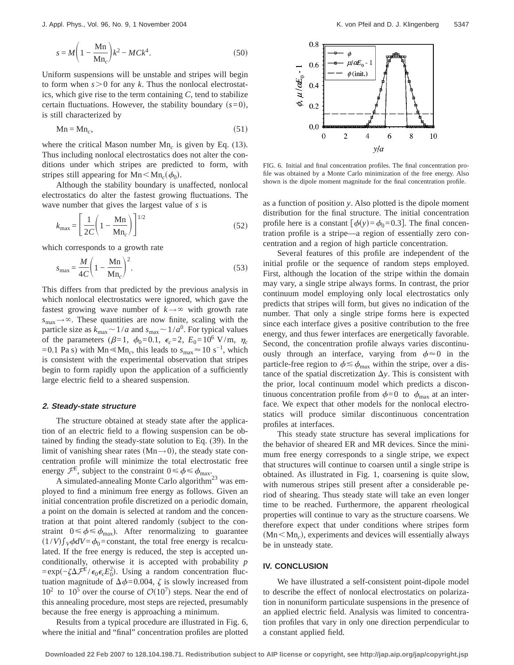$$
s = M \left( 1 - \frac{\text{Mn}}{\text{Mn}_c} \right) k^2 - MCk^4.
$$
 (50)

Uniform suspensions will be unstable and stripes will begin to form when  $s > 0$  for any *k*. Thus the nonlocal electrostatics, which give rise to the term containing *C*, tend to stabilize certain fluctuations. However, the stability boundary  $(s=0)$ , is still characterized by

$$
Mn = Mn_c, \t\t(51)
$$

where the critical Mason number Mn<sub>c</sub> is given by Eq. (13). Thus including nonlocal electrostatics does not alter the conditions under which stripes are predicted to form, with stripes still appearing for  $Mn < Mn_c(\phi_0)$ .

Although the stability boundary is unaffected, nonlocal electrostatics do alter the fastest growing fluctuations. The wave number that gives the largest value of *s* is

$$
k_{\text{max}} = \left[\frac{1}{2C} \left(1 - \frac{\text{Mn}}{\text{Mn}_c}\right)\right]^{1/2} \tag{52}
$$

which corresponds to a growth rate

$$
s_{\text{max}} = \frac{M}{4C} \left( 1 - \frac{\text{Mn}}{\text{Mn}_c} \right)^2.
$$
 (53)

This differs from that predicted by the previous analysis in which nonlocal electrostatics were ignored, which gave the fastest growing wave number of  $k \rightarrow \infty$  with growth rate  $s_{\text{max}} \rightarrow \infty$ . These quantities are now finite, scaling with the particle size as  $k_{\text{max}} \sim 1/a$  and  $s_{\text{max}} \sim 1/a^0$ . For typical values of the parameters ( $\beta = 1$ ,  $\phi_0 = 0.1$ ,  $\epsilon_c = 2$ ,  $E_0 = 10^6$  V/m,  $\eta_c$ =0.1 Pa s) with Mn  $\textless Mn_c$ , this leads to  $s_{\text{max}} \approx 10 \text{ s}^{-1}$ , which is consistent with the experimental observation that stripes begin to form rapidly upon the application of a sufficiently large electric field to a sheared suspension.

## **2. Steady-state structure**

The structure obtained at steady state after the application of an electric field to a flowing suspension can be obtained by finding the steady-state solution to Eq. (39). In the limit of vanishing shear rates  $(Mn\rightarrow 0)$ , the steady state concentration profile will minimize the total electrostatic free energy  $\mathcal{F}^E$ , subject to the constraint  $0 \leq \phi \leq \phi_{\text{max}}$ .

A simulated-annealing Monte Carlo algorithm<sup>23</sup> was employed to find a minimum free energy as follows. Given an initial concentration profile discretized on a periodic domain, a point on the domain is selected at random and the concentration at that point altered randomly (subject to the constraint  $0 \le \phi \le \phi_{\text{max}}$ ). After renormalizing to guarantee  $(1/V)\int_{V}\phi dV = \phi_0 = \text{constant}$ , the total free energy is recalculated. If the free energy is reduced, the step is accepted unconditionally, otherwise it is accepted with probability *p* =exp(-ζΔ $\mathcal{F}^E$ / $\epsilon_0 \epsilon_c E_0^2$ ). Using a random concentration fluctuation magnitude of  $\Delta \phi$ =0.004,  $\zeta$  is slowly increased from  $10^2$  to  $10^5$  over the course of  $\mathcal{O}(10^7)$  steps. Near the end of this annealing procedure, most steps are rejected, presumably because the free energy is approaching a minimum.

Results from a typical procedure are illustrated in Fig. 6, where the initial and "final" concentration profiles are plotted



FIG. 6. Initial and final concentration profiles. The final concentration profile was obtained by a Monte Carlo minimization of the free energy. Also shown is the dipole moment magnitude for the final concentration profile.

as a function of position *y*. Also plotted is the dipole moment distribution for the final structure. The initial concentration profile here is a constant  $\phi(y) = \phi_0 = 0.3$ . The final concentration profile is a stripe—a region of essentially zero concentration and a region of high particle concentration.

Several features of this profile are independent of the initial profile or the sequence of random steps employed. First, although the location of the stripe within the domain may vary, a single stripe always forms. In contrast, the prior continuum model employing only local electrostatics only predicts that stripes will form, but gives no indication of the number. That only a single stripe forms here is expected since each interface gives a positive contribution to the free energy, and thus fewer interfaces are energetically favorable. Second, the concentration profile always varies discontinuously through an interface, varying from  $\phi \approx 0$  in the particle-free region to  $\phi \lesssim \phi_{\text{max}}$  within the stripe, over a distance of the spatial discretization  $\Delta y$ . This is consistent with the prior, local continuum model which predicts a discontinuous concentration profile from  $\phi=0$  to  $\phi_{\text{max}}$  at an interface. We expect that other models for the nonlocal electrostatics will produce similar discontinuous concentration profiles at interfaces.

This steady state structure has several implications for the behavior of sheared ER and MR devices. Since the minimum free energy corresponds to a single stripe, we expect that structures will continue to coarsen until a single stripe is obtained. As illustrated in Fig. 1, coarsening is quite slow, with numerous stripes still present after a considerable period of shearing. Thus steady state will take an even longer time to be reached. Furthermore, the apparent rheological properties will continue to vary as the structure coarsens. We therefore expect that under conditions where stripes form  $(Mn< Mn_c)$ , experiments and devices will essentially always be in unsteady state.

### **IV. CONCLUSION**

We have illustrated a self-consistent point-dipole model to describe the effect of nonlocal electrostatics on polarization in nonuniform particulate suspensions in the presence of an applied electric field. Analysis was limited to concentration profiles that vary in only one direction perpendicular to a constant applied field.